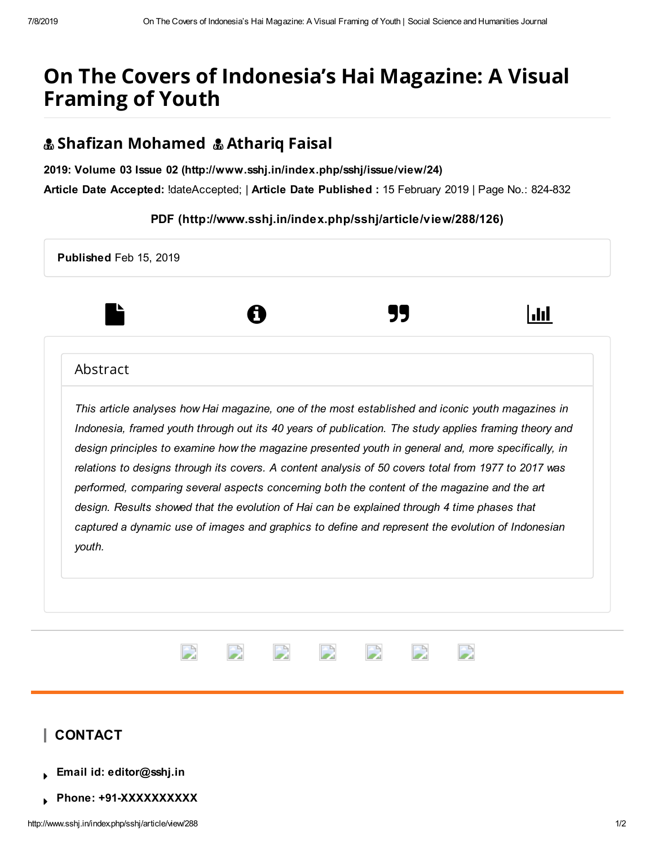# On The Covers of Indonesia's Hai Magazine: A Visual Framing of Youth

## & Shafizan Mohamed & Athariq Faisal

2019: Volume 03 Issue 02 [\(http://www.sshj.in/index.php/sshj/issue/view/24\)](http://www.sshj.in/index.php/sshj/issue/view/24)

Article Date Accepted: !dateAccepted; | Article Date Published : 15 February 2019 | Page No.: 824-832

#### PDF [\(http://www.sshj.in/index.php/sshj/article/view/288/126\)](http://www.sshj.in/index.php/sshj/article/view/288/126)



Phone: +91-XXXXXXXXXX